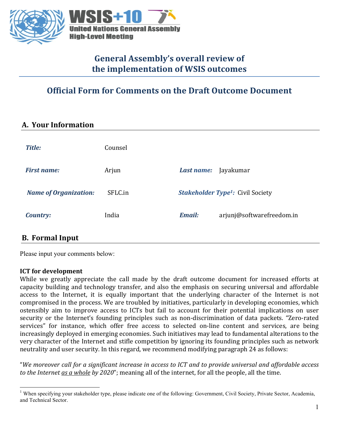

# **General Assembly's overall review of** the implementation of WSIS outcomes

# **Official Form for Comments on the Draft Outcome Document**

### **A. Your Information**

| <b>Title:</b>                | Counsel |                                                    |
|------------------------------|---------|----------------------------------------------------|
| <b>First name:</b>           | Arjun   | Jayakumar<br>Last name:                            |
| <b>Name of Organization:</b> | SFLC.in | <b>Stakeholder Type<sup>1</sup>: Civil Society</b> |
| <b>Country:</b>              | India   | <b>Email:</b><br>arjunj@softwarefreedom.in         |

### **B. Formal Input**

Please input your comments below:

#### **ICT** for development

While we greatly appreciate the call made by the draft outcome document for increased efforts at capacity building and technology transfer, and also the emphasis on securing universal and affordable access to the Internet, it is equally important that the underlying character of the Internet is not compromised in the process. We are troubled by initiatives, particularly in developing economies, which ostensibly aim to improve access to ICTs but fail to account for their potential implications on user security or the Internet's founding principles such as non-discrimination of data packets. "Zero-rated services" for instance, which offer free access to selected on-line content and services, are being increasingly deployed in emerging economies. Such initiatives may lead to fundamental alterations to the very character of the Internet and stifle competition by ignoring its founding principles such as network neutrality and user security. In this regard, we recommend modifying paragraph 24 as follows:

"We moreover call for a significant increase in access to ICT and to provide universal and affordable access *to* the Internet as a whole by 2020"; meaning all of the internet, for all the people, all the time.

<sup>&</sup>lt;sup>1</sup> When specifying your stakeholder type, please indicate one of the following: Government, Civil Society, Private Sector, Academia, and Technical Sector.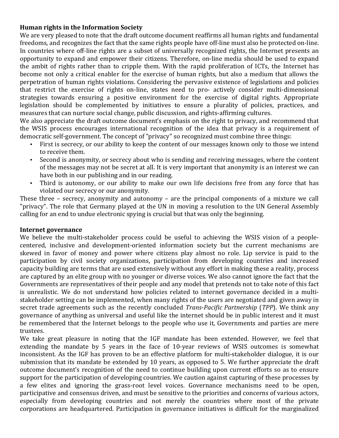#### **Human rights in the Information Society**

We are very pleased to note that the draft outcome document reaffirms all human rights and fundamental freedoms, and recognizes the fact that the same rights people have off-line must also be protected on-line. In countries where off-line rights are a subset of universally recognized rights, the Internet presents an opportunity to expand and empower their citizens. Therefore, on-line media should be used to expand the ambit of rights rather than to cripple them. With the rapid proliferation of ICTs, the Internet has become not only a critical enabler for the exercise of human rights, but also a medium that allows the perpetration of human rights violations. Considering the pervasive existence of legislations and policies that restrict the exercise of rights on-line, states need to pro- actively consider multi-dimensional strategies towards ensuring a positive environment for the exercise of digital rights. Appropriate legislation should be complemented by initiatives to ensure a plurality of policies, practices, and measures that can nurture social change, public discussion, and rights-affirming cultures.

We also appreciate the draft outcome document's emphasis on the right to privacy, and recommend that the WSIS process encourages international recognition of the idea that privacy is a requirement of democratic self-government. The concept of "privacy" so recognized must combine three things:

- First is secrecy, or our ability to keep the content of our messages known only to those we intend to receive them.
- Second is anonymity, or secrecy about who is sending and receiving messages, where the content of the messages may not be secret at all. It is very important that anonymity is an interest we can have both in our publishing and in our reading.
- Third is autonomy, or our ability to make our own life decisions free from any force that has violated our secrecy or our anonymity.

These three  $-$  secrecy, anonymity and autonomy  $-$  are the principal components of a mixture we call "privacy". The role that Germany played at the UN in moving a resolution to the UN General Assembly calling for an end to undue electronic spying is crucial but that was only the beginning.

#### **Internet governance**

We believe the multi-stakeholder process could be useful to achieving the WSIS vision of a peoplecentered, inclusive and development-oriented information society but the current mechanisms are skewed in favor of money and power where citizens play almost no role. Lip service is paid to the participation by civil society organizations, participation from developing countries and increased capacity building are terms that are used extensively without any effort in making these a reality, process are captured by an elite group with no younger or diverse voices. We also cannot ignore the fact that the Governments are representatives of their people and any model that pretends not to take note of this fact is unrealistic. We do not understand how policies related to internet governance decided in a multistakeholder setting can be implemented, when many rights of the users are negotiated and given away in secret trade agreements such as the recently concluded *Trans-Pacific Partnership* (*TPP*). We think any governance of anything as universal and useful like the internet should be in public interest and it must be remembered that the Internet belongs to the people who use it, Governments and parties are mere trustees.

We take great pleasure in noting that the IGF mandate has been extended. However, we feel that extending the mandate by 5 years in the face of 10-year reviews of WSIS outcomes is somewhat inconsistent. As the IGF has proven to be an effective platform for multi-stakeholder dialogue, it is our submission that its mandate be extended by 10 years, as opposed to 5. We further appreciate the draft outcome document's recognition of the need to continue building upon current efforts so as to ensure support for the participation of developing countries. We caution against capturing of these processes by a few elites and ignoring the grass-root level voices. Governance mechanisms need to be open, participative and consensus driven, and must be sensitive to the priorities and concerns of various actors, especially from developing countries and not merely the countries where most of the private corporations are headquartered. Participation in governance initiatives is difficult for the marginalized